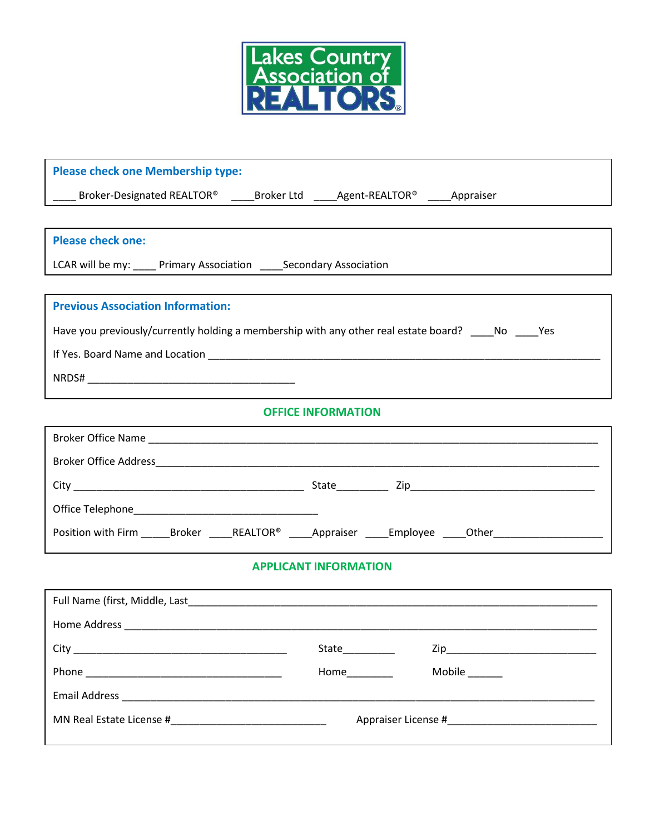

| <b>Please check one Membership type:</b>                                                                       |                 |               |  |
|----------------------------------------------------------------------------------------------------------------|-----------------|---------------|--|
| ____ Broker-Designated REALTOR® _____Broker Ltd _____Agent-REALTOR® _____Appraiser                             |                 |               |  |
|                                                                                                                |                 |               |  |
| <b>Please check one:</b>                                                                                       |                 |               |  |
| LCAR will be my: ____ Primary Association _____ Secondary Association                                          |                 |               |  |
|                                                                                                                |                 |               |  |
| <b>Previous Association Information:</b>                                                                       |                 |               |  |
| Have you previously/currently holding a membership with any other real estate board? _____No _____Yes          |                 |               |  |
|                                                                                                                |                 |               |  |
|                                                                                                                |                 |               |  |
| <b>OFFICE INFORMATION</b>                                                                                      |                 |               |  |
|                                                                                                                |                 |               |  |
|                                                                                                                |                 |               |  |
|                                                                                                                |                 |               |  |
|                                                                                                                |                 |               |  |
|                                                                                                                |                 |               |  |
| Position with Firm _______Broker _______REALTOR® ______Appraiser ______Employee _____Other____________________ |                 |               |  |
| <b>APPLICANT INFORMATION</b>                                                                                   |                 |               |  |
|                                                                                                                |                 |               |  |
|                                                                                                                |                 |               |  |
|                                                                                                                | State__________ |               |  |
|                                                                                                                |                 | Mobile ______ |  |
|                                                                                                                |                 |               |  |
|                                                                                                                |                 |               |  |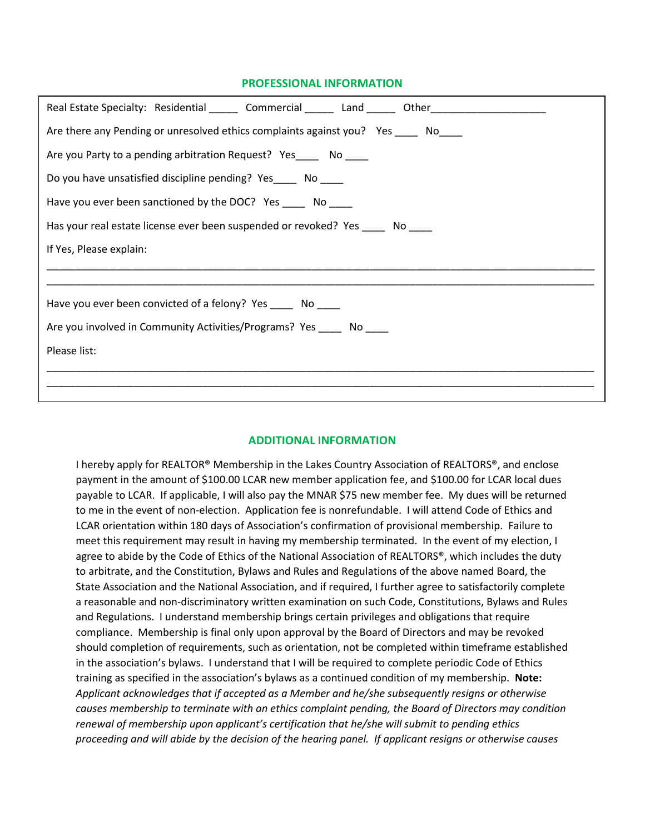## **PROFESSIONAL INFORMATION**

| Real Estate Specialty: Residential _______ Commercial _______ Land _______ Other____________________ |  |  |  |
|------------------------------------------------------------------------------------------------------|--|--|--|
| Are there any Pending or unresolved ethics complaints against you? Yes ______ No                     |  |  |  |
| Are you Party to a pending arbitration Request? Yes No                                               |  |  |  |
| Do you have unsatisfied discipline pending? Yes______ No _____                                       |  |  |  |
| Have you ever been sanctioned by the DOC? Yes ______ No                                              |  |  |  |
| Has your real estate license ever been suspended or revoked? Yes ______ No _____                     |  |  |  |
| If Yes, Please explain:                                                                              |  |  |  |
|                                                                                                      |  |  |  |
| Have you ever been convicted of a felony? Yes _______ No _____                                       |  |  |  |
| Are you involved in Community Activities/Programs? Yes ______ No                                     |  |  |  |
| Please list:                                                                                         |  |  |  |
|                                                                                                      |  |  |  |
|                                                                                                      |  |  |  |

## **ADDITIONAL INFORMATION**

I hereby apply for REALTOR® Membership in the Lakes Country Association of REALTORS®, and enclose payment in the amount of \$100.00 LCAR new member application fee, and \$100.00 for LCAR local dues payable to LCAR. If applicable, I will also pay the MNAR \$75 new member fee. My dues will be returned to me in the event of non-election. Application fee is nonrefundable. I will attend Code of Ethics and LCAR orientation within 180 days of Association's confirmation of provisional membership. Failure to meet this requirement may result in having my membership terminated. In the event of my election, I agree to abide by the Code of Ethics of the National Association of REALTORS®, which includes the duty to arbitrate, and the Constitution, Bylaws and Rules and Regulations of the above named Board, the State Association and the National Association, and if required, I further agree to satisfactorily complete a reasonable and non-discriminatory written examination on such Code, Constitutions, Bylaws and Rules and Regulations. I understand membership brings certain privileges and obligations that require compliance. Membership is final only upon approval by the Board of Directors and may be revoked should completion of requirements, such as orientation, not be completed within timeframe established in the association's bylaws. I understand that I will be required to complete periodic Code of Ethics training as specified in the association's bylaws as a continued condition of my membership. **Note:** *Applicant acknowledges that if accepted as a Member and he/she subsequently resigns or otherwise causes membership to terminate with an ethics complaint pending, the Board of Directors may condition renewal of membership upon applicant's certification that he/she will submit to pending ethics proceeding and will abide by the decision of the hearing panel. If applicant resigns or otherwise causes*